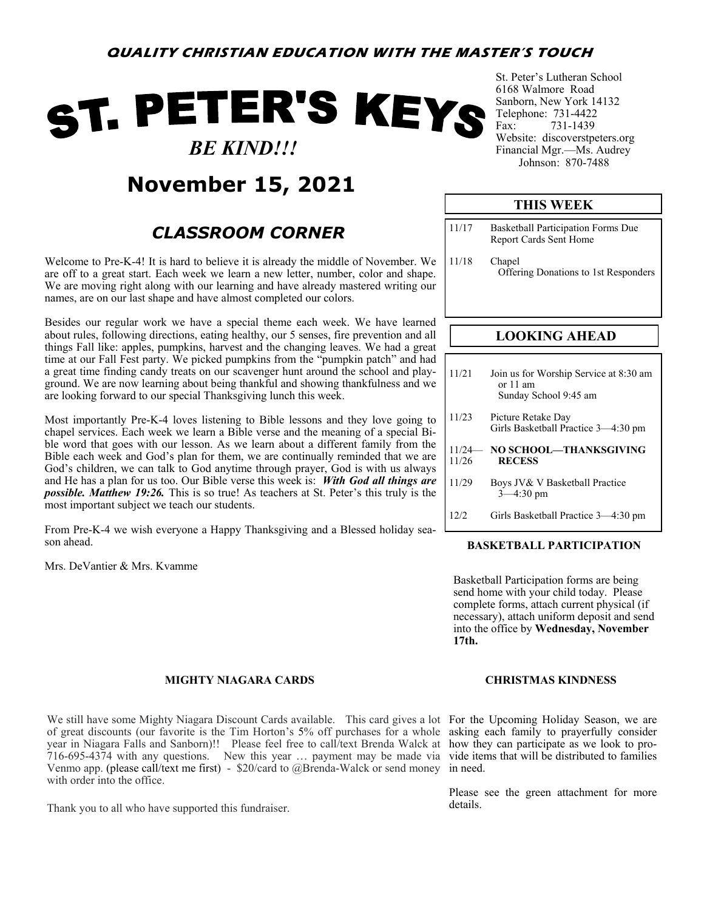# ST. PETER'S KEYS  *BE KIND!!!*

## **November 15, 2021**

### *CLASSROOM CORNER*

Welcome to Pre-K-4! It is hard to believe it is already the middle of November. We are off to a great start. Each week we learn a new letter, number, color and shape. We are moving right along with our learning and have already mastered writing our names, are on our last shape and have almost completed our colors.

Besides our regular work we have a special theme each week. We have learned about rules, following directions, eating healthy, our 5 senses, fire prevention and all things Fall like: apples, pumpkins, harvest and the changing leaves. We had a great time at our Fall Fest party. We picked pumpkins from the "pumpkin patch" and had a great time finding candy treats on our scavenger hunt around the school and playground. We are now learning about being thankful and showing thankfulness and we are looking forward to our special Thanksgiving lunch this week.

Most importantly Pre-K-4 loves listening to Bible lessons and they love going to chapel services. Each week we learn a Bible verse and the meaning of a special Bible word that goes with our lesson. As we learn about a different family from the Bible each week and God's plan for them, we are continually reminded that we are God's children, we can talk to God anytime through prayer, God is with us always and He has a plan for us too. Our Bible verse this week is: *With God all things are possible. Matthew 19:26.* This is so true! As teachers at St. Peter's this truly is the most important subject we teach our students.

From Pre-K-4 we wish everyone a Happy Thanksgiving and a Blessed holiday season ahead.

Mrs. DeVantier & Mrs. Kvamme

#### **MIGHTY NIAGARA CARDS**

We still have some Mighty Niagara Discount Cards available. This card gives a lot For the Upcoming Holiday Season, we are of great discounts (our favorite is the Tim Horton's 5% off purchases for a whole asking each family to prayerfully consider year in Niagara Falls and Sanborn)!! Please feel free to call/text Brenda Walck at how they can participate as we look to pro-716-695-4374 with any questions. New this year … payment may be made via vide items that will be distributed to families Venmo app. (please call/text me first) - \$20/card to @Brenda-Walck or send money in need. with order into the office.

Thank you to all who have supported this fundraiser.

St. Peter's Lutheran School 6168 Walmore Road Sanborn, New York 14132 Telephone: 731-4422 Fax: 731-1439 Website: discoverstpeters.org Financial Mgr.—Ms. Audrey Johnson: 870-7488

#### **THIS WEEK**

- 11/17 Basketball Participation Forms Due Report Cards Sent Home
- 11/18 Chapel Offering Donations to 1st Responders

#### **LOOKING AHEAD**

| 11/21 | Join us for Worship Service at 8:30 am<br>or 11 am<br>Sunday School 9:45 am |
|-------|-----------------------------------------------------------------------------|
| 11/23 | Picture Retake Day<br>Girls Basketball Practice 3-4:30 pm                   |
| 11/26 | 11/24- NO SCHOOL-THANKSGIVING<br><b>RECESS</b>                              |
| 11/29 | Boys JV& V Basketball Practice<br>$3 - 4:30$ pm                             |
| 12/2  | Girls Basketball Practice 3—4:30 pm                                         |

#### **BASKETBALL PARTICIPATION**

Basketball Participation forms are being send home with your child today. Please complete forms, attach current physical (if necessary), attach uniform deposit and send into the office by **Wednesday, November 17th.**

#### **CHRISTMAS KINDNESS**

Please see the green attachment for more details.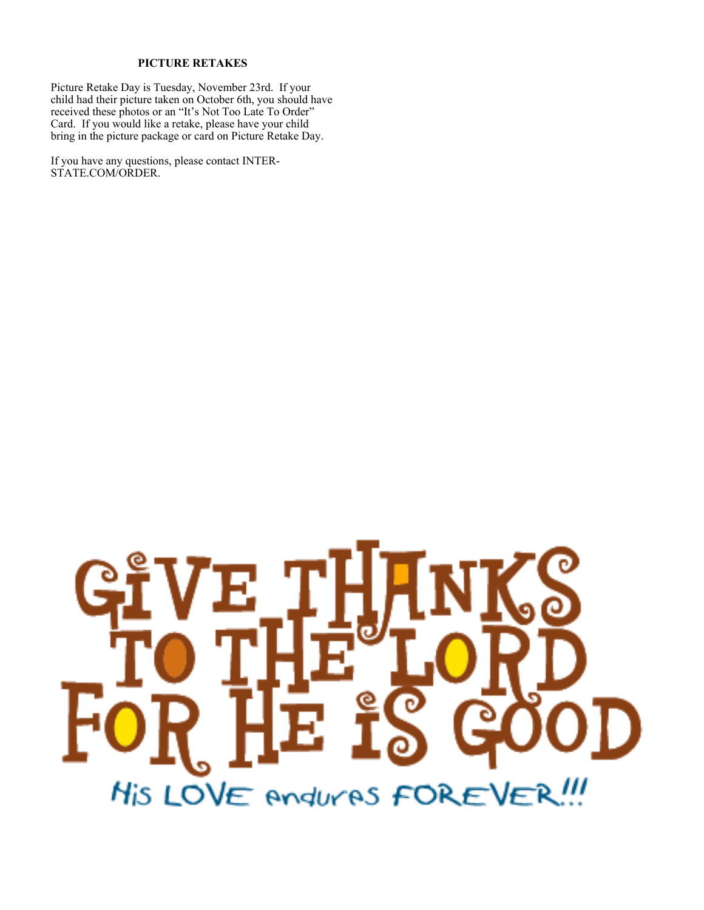#### **PICTURE RETAKES**

Picture Retake Day is Tuesday, November 23rd. If your child had their picture taken on October 6th, you should have received these photos or an "It's Not Too Late To Order" Card. If you would like a retake, please have your child bring in the picture package or card on Picture Retake Day.

If you have any questions, please contact INTER-STATE.COM/ORDER.

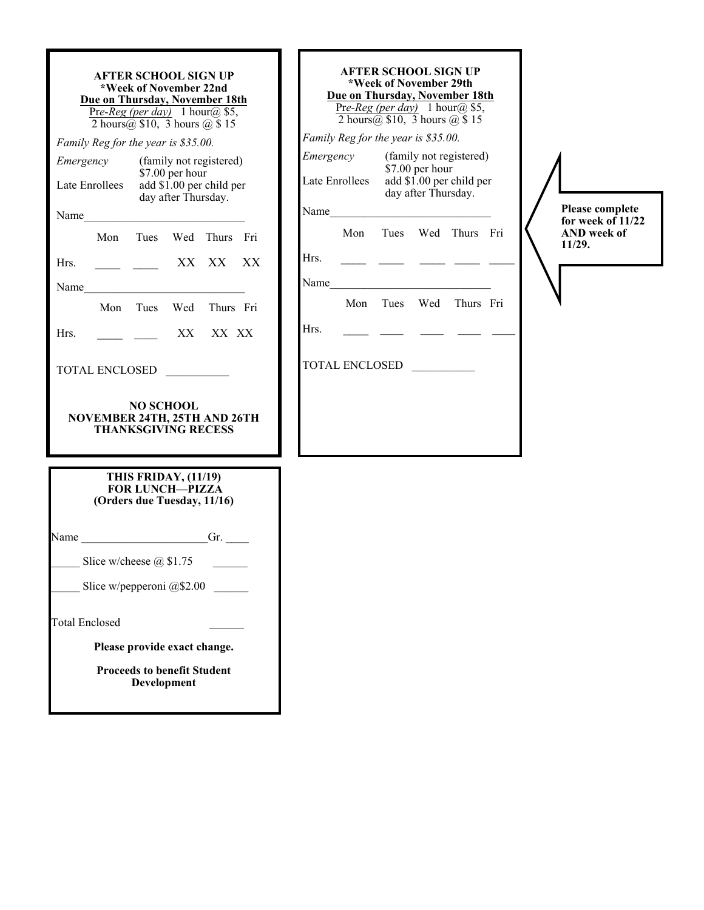| <b>AFTER SCHOOL SIGN UP</b><br>*Week of November 22nd<br>Due on Thursday, November 18th<br>Pre-Reg (per day) 1 hour(a) \$5,<br>2 hours $\omega$ \$10, 3 hours $\omega$ \$15 |                                                                                      |                                     |  |                         |    |  |
|-----------------------------------------------------------------------------------------------------------------------------------------------------------------------------|--------------------------------------------------------------------------------------|-------------------------------------|--|-------------------------|----|--|
|                                                                                                                                                                             |                                                                                      | Family Reg for the year is \$35.00. |  |                         |    |  |
| Emergency                                                                                                                                                                   |                                                                                      |                                     |  | (family not registered) |    |  |
|                                                                                                                                                                             | \$7.00 per hour<br>add \$1.00 per child per<br>Late Enrollees<br>day after Thursday. |                                     |  |                         |    |  |
| Name                                                                                                                                                                        |                                                                                      |                                     |  |                         |    |  |
|                                                                                                                                                                             |                                                                                      | Mon Tues Wed Thurs Fri              |  |                         |    |  |
| Hrs.                                                                                                                                                                        |                                                                                      |                                     |  | XX XX                   | XX |  |
| Name                                                                                                                                                                        |                                                                                      |                                     |  |                         |    |  |
|                                                                                                                                                                             |                                                                                      | Mon Tues Wed Thurs Fri              |  |                         |    |  |
| Hrs.                                                                                                                                                                        |                                                                                      |                                     |  | XX XX XX                |    |  |
| TOTAL ENCLOSED<br><b>NO SCHOOL</b>                                                                                                                                          |                                                                                      |                                     |  |                         |    |  |
| <b>NOVEMBER 24TH, 25TH AND 26TH</b><br><b>THANKSGIVING RECESS</b>                                                                                                           |                                                                                      |                                     |  |                         |    |  |
| THIS FRIDAY, (11/19)<br><b>FOR LUNCH-PIZZA</b><br>(Orders due Tuesday, 11/16)                                                                                               |                                                                                      |                                     |  |                         |    |  |
| Name                                                                                                                                                                        |                                                                                      |                                     |  | Gr.                     |    |  |
|                                                                                                                                                                             | Slice w/cheese $\omega$ \$1.75                                                       |                                     |  |                         |    |  |
| Slice w/pepperoni @\$2.00                                                                                                                                                   |                                                                                      |                                     |  |                         |    |  |
| <b>Total Enclosed</b>                                                                                                                                                       |                                                                                      |                                     |  |                         |    |  |
| Please provide exact change.                                                                                                                                                |                                                                                      |                                     |  |                         |    |  |
| <b>Proceeds to benefit Student</b><br><b>Development</b>                                                                                                                    |                                                                                      |                                     |  |                         |    |  |

| AFTER SCHOOL SIGN UP<br>*Week of November 29th<br>Due on Thursday, November 18th<br>Pre-Reg (per day) 1 hour@ \$5,<br>2 hours $\omega$ \$10, 3 hours $\omega$ \$15  |  |  |  |                        |  |  |
|---------------------------------------------------------------------------------------------------------------------------------------------------------------------|--|--|--|------------------------|--|--|
| Family Reg for the year is \$35.00.<br>(family not registered)<br>Emergency<br>\$7.00 per hour<br>add \$1.00 per child per<br>Late Enrollees<br>day after Thursday. |  |  |  |                        |  |  |
| Name<br>Hrs                                                                                                                                                         |  |  |  | Mon Tues Wed Thurs Fri |  |  |
| Name<br>Hrs.                                                                                                                                                        |  |  |  | Mon Tues Wed Thurs Fri |  |  |
| <b>TOTAL ENCLOSED</b>                                                                                                                                               |  |  |  |                        |  |  |
|                                                                                                                                                                     |  |  |  |                        |  |  |

**Please complete for week of 11/22 AND week of 11/29.**